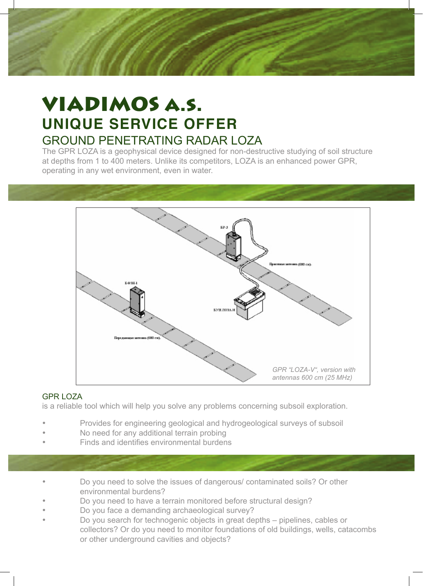

# VIADIMOS a.s. **UNIQUE SERVICE OFFER** GROUND PENETRATING RADAR LOZA

The GPR LOZA is a geophysical device designed for non-destructive studying of soil structure at depths from 1 to 400 meters. Unlike its competitors, LOZA is an enhanced power GPR, operating in any wet environment, even in water.



#### GPR LOZA

is a reliable tool which will help you solve any problems concerning subsoil exploration.

- Provides for engineering geological and hydrogeological surveys of subsoil
- No need for any additional terrain probing
- Finds and identifies environmental burdens
- Do you need to solve the issues of dangerous/ contaminated soils? Or other environmental burdens?
- Do you need to have a terrain monitored before structural design?
- Do you face a demanding archaeological survey?
- Do you search for technogenic objects in great depths pipelines, cables or collectors? Or do you need to monitor foundations of old buildings, wells, catacombs or other underground cavities and objects?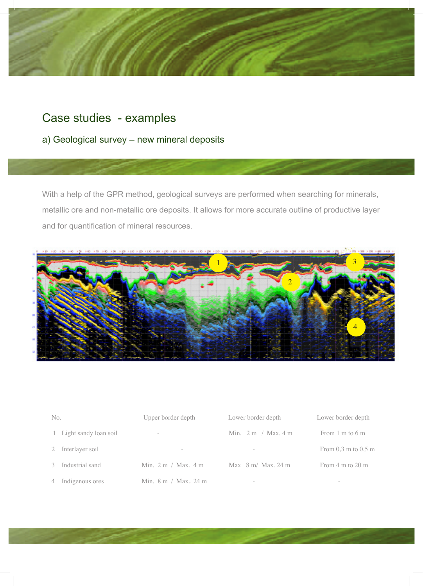

# Case studies - examples

### a) Geological survey – new mineral deposits

With a help of the GPR method, geological surveys are performed when searching for minerals, metallic ore and non-metallic ore deposits. It allows for more accurate outline of productive layer and for quantification of mineral resources.



| No.                   | Upper border depth                       | Lower border depth                      | Lower border depth                      |
|-----------------------|------------------------------------------|-----------------------------------------|-----------------------------------------|
| Light sandy loan soil | $\overline{\phantom{a}}$                 | Min. $2 \text{ m}$ / Max. $4 \text{ m}$ | From $1 \text{ m}$ to $6 \text{ m}$     |
| Interlayer soil       | $\hspace{0.1mm}-\hspace{0.1mm}$          | $\overline{\phantom{a}}$                | From $0.3 \text{ m}$ to $0.5 \text{ m}$ |
| Industrial sand       | Min. $2 \text{ m}$ / Max. $4 \text{ m}$  | Max $8 \text{ m}$ / Max, 24 m           | From $4 \text{ m}$ to $20 \text{ m}$    |
| Indigenous ores       | Min. $8 \text{ m}$ / Max. $24 \text{ m}$ | $\sim$                                  | $\hspace{0.1mm}-\hspace{0.1mm}$         |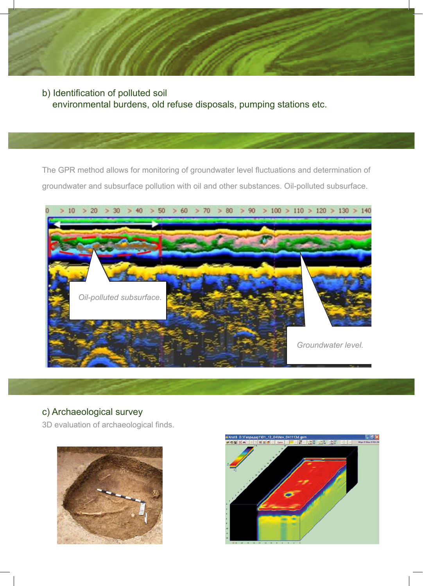

b) Identification of polluted soil environmental burdens, old refuse disposals, pumping stations etc. George metoda umo uno uno uno uno províncio províncio que este este

The GPR method allows for monitoring of groundwater level fluctuations and determination of groundwater and subsurface pollution with oil and other substances. Oil-polluted subsurface.

kolísání spodní vody, ur ovat zne i t nízkazem vody, ur ovat zne i televizival zne i transitivní vody, ur ovat<br>Vody značil zne i t nízkazem vody zne i televizival zne i televizival zne i televizival zne i televizival zne

spodních vod a po dpouzí vrstva v ropnosti vrstva vrstva vrstva vrstva vrstva vrstva vrstva vrstva vrstva vrst<br>Po dpovrchov roku 1980 vrstva vrstva vrstva vrstva vrstva vrstva vrstva vrstva vrstva vrstva vrstva vrstva vrs



### c) Archaeological survey

3D evaluation of archaeological finds.